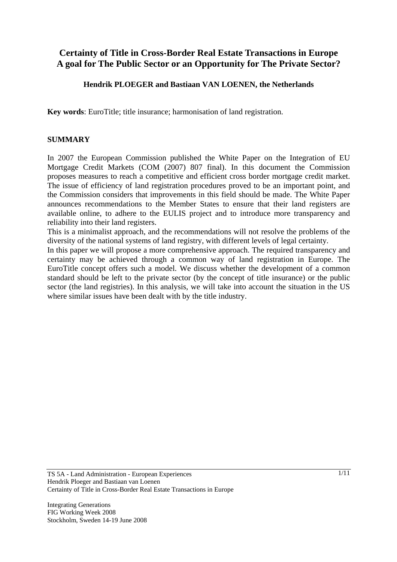## **Certainty of Title in Cross-Border Real Estate Transactions in Europe A goal for The Public Sector or an Opportunity for The Private Sector?**

#### **Hendrik PLOEGER and Bastiaan VAN LOENEN, the Netherlands**

**Key words**: EuroTitle; title insurance; harmonisation of land registration.

#### **SUMMARY**

In 2007 the European Commission published the White Paper on the Integration of EU Mortgage Credit Markets (COM (2007) 807 final). In this document the Commission proposes measures to reach a competitive and efficient cross border mortgage credit market. The issue of efficiency of land registration procedures proved to be an important point, and the Commission considers that improvements in this field should be made. The White Paper announces recommendations to the Member States to ensure that their land registers are available online, to adhere to the EULIS project and to introduce more transparency and reliability into their land registers.

This is a minimalist approach, and the recommendations will not resolve the problems of the diversity of the national systems of land registry, with different levels of legal certainty.

In this paper we will propose a more comprehensive approach. The required transparency and certainty may be achieved through a common way of land registration in Europe. The EuroTitle concept offers such a model. We discuss whether the development of a common standard should be left to the private sector (by the concept of title insurance) or the public sector (the land registries). In this analysis, we will take into account the situation in the US where similar issues have been dealt with by the title industry.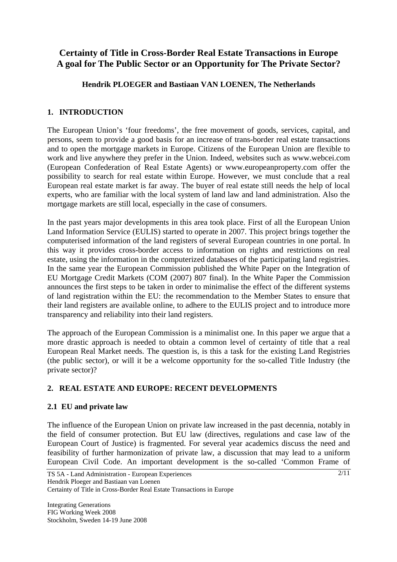# **Certainty of Title in Cross-Border Real Estate Transactions in Europe A goal for The Public Sector or an Opportunity for The Private Sector?**

### **Hendrik PLOEGER and Bastiaan VAN LOENEN, The Netherlands**

### **1. INTRODUCTION**

The European Union's 'four freedoms', the free movement of goods, services, capital, and persons, seem to provide a good basis for an increase of trans-border real estate transactions and to open the mortgage markets in Europe. Citizens of the European Union are flexible to work and live anywhere they prefer in the Union. Indeed, websites such as www.webcei.com (European Confederation of Real Estate Agents) or www.europeanproperty.com offer the possibility to search for real estate within Europe. However, we must conclude that a real European real estate market is far away. The buyer of real estate still needs the help of local experts, who are familiar with the local system of land law and land administration. Also the mortgage markets are still local, especially in the case of consumers.

In the past years major developments in this area took place. First of all the European Union Land Information Service (EULIS) started to operate in 2007. This project brings together the computerised information of the land registers of several European countries in one portal. In this way it provides cross-border access to information on rights and restrictions on real estate, using the information in the computerized databases of the participating land registries. In the same year the European Commission published the White Paper on the Integration of EU Mortgage Credit Markets (COM (2007) 807 final). In the White Paper the Commission announces the first steps to be taken in order to minimalise the effect of the different systems of land registration within the EU: the recommendation to the Member States to ensure that their land registers are available online, to adhere to the EULIS project and to introduce more transparency and reliability into their land registers.

The approach of the European Commission is a minimalist one. In this paper we argue that a more drastic approach is needed to obtain a common level of certainty of title that a real European Real Market needs. The question is, is this a task for the existing Land Registries (the public sector), or will it be a welcome opportunity for the so-called Title Industry (the private sector)?

## **2. REAL ESTATE AND EUROPE: RECENT DEVELOPMENTS**

#### **2.1 EU and private law**

The influence of the European Union on private law increased in the past decennia, notably in the field of consumer protection. But EU law (directives, regulations and case law of the European Court of Justice) is fragmented. For several year academics discuss the need and feasibility of further harmonization of private law, a discussion that may lead to a uniform European Civil Code. An important development is the so-called 'Common Frame of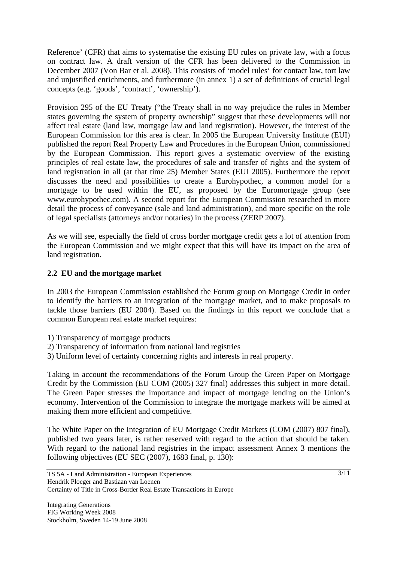Reference' (CFR) that aims to systematise the existing EU rules on private law, with a focus on contract law. A draft version of the CFR has been delivered to the Commission in December 2007 (Von Bar et al. 2008). This consists of 'model rules' for contact law, tort law and unjustified enrichments, and furthermore (in annex 1) a set of definitions of crucial legal concepts (e.g. 'goods', 'contract', 'ownership').

Provision 295 of the EU Treaty ("the Treaty shall in no way prejudice the rules in Member states governing the system of property ownership" suggest that these developments will not affect real estate (land law, mortgage law and land registration). However, the interest of the European Commission for this area is clear. In 2005 the European University Institute (EUI) published the report Real Property Law and Procedures in the European Union, commissioned by the European Commission. This report gives a systematic overview of the existing principles of real estate law, the procedures of sale and transfer of rights and the system of land registration in all (at that time 25) Member States (EUI 2005). Furthermore the report discusses the need and possibilities to create a Eurohypothec, a common model for a mortgage to be used within the EU, as proposed by the Euromortgage group (see www.eurohypothec.com). A second report for the European Commission researched in more detail the process of conveyance (sale and land administration), and more specific on the role of legal specialists (attorneys and/or notaries) in the process (ZERP 2007).

As we will see, especially the field of cross border mortgage credit gets a lot of attention from the European Commission and we might expect that this will have its impact on the area of land registration.

### **2.2 EU and the mortgage market**

In 2003 the European Commission established the Forum group on Mortgage Credit in order to identify the barriers to an integration of the mortgage market, and to make proposals to tackle those barriers (EU 2004). Based on the findings in this report we conclude that a common European real estate market requires:

- 1) Transparency of mortgage products
- 2) Transparency of information from national land registries
- 3) Uniform level of certainty concerning rights and interests in real property.

Taking in account the recommendations of the Forum Group the Green Paper on Mortgage Credit by the Commission (EU COM (2005) 327 final) addresses this subject in more detail. The Green Paper stresses the importance and impact of mortgage lending on the Union's economy. Intervention of the Commission to integrate the mortgage markets will be aimed at making them more efficient and competitive.

The White Paper on the Integration of EU Mortgage Credit Markets (COM (2007) 807 final), published two years later, is rather reserved with regard to the action that should be taken. With regard to the national land registries in the impact assessment Annex 3 mentions the following objectives (EU SEC (2007), 1683 final, p. 130):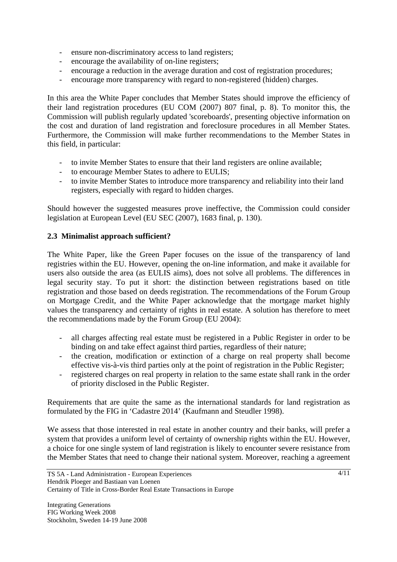- ensure non-discriminatory access to land registers;
- encourage the availability of on-line registers;
- encourage a reduction in the average duration and cost of registration procedures;
- encourage more transparency with regard to non-registered (hidden) charges.

In this area the White Paper concludes that Member States should improve the efficiency of their land registration procedures (EU COM (2007) 807 final, p. 8). To monitor this, the Commission will publish regularly updated 'scoreboards', presenting objective information on the cost and duration of land registration and foreclosure procedures in all Member States. Furthermore, the Commission will make further recommendations to the Member States in this field, in particular:

- to invite Member States to ensure that their land registers are online available;
- to encourage Member States to adhere to EULIS;
- to invite Member States to introduce more transparency and reliability into their land registers, especially with regard to hidden charges.

Should however the suggested measures prove ineffective, the Commission could consider legislation at European Level (EU SEC (2007), 1683 final, p. 130).

### **2.3 Minimalist approach sufficient?**

The White Paper, like the Green Paper focuses on the issue of the transparency of land registries within the EU. However, opening the on-line information, and make it available for users also outside the area (as EULIS aims), does not solve all problems. The differences in legal security stay. To put it short: the distinction between registrations based on title registration and those based on deeds registration. The recommendations of the Forum Group on Mortgage Credit, and the White Paper acknowledge that the mortgage market highly values the transparency and certainty of rights in real estate. A solution has therefore to meet the recommendations made by the Forum Group (EU 2004):

- all charges affecting real estate must be registered in a Public Register in order to be binding on and take effect against third parties, regardless of their nature;
- the creation, modification or extinction of a charge on real property shall become effective vis-à-vis third parties only at the point of registration in the Public Register;
- registered charges on real property in relation to the same estate shall rank in the order of priority disclosed in the Public Register.

Requirements that are quite the same as the international standards for land registration as formulated by the FIG in 'Cadastre 2014' (Kaufmann and Steudler 1998).

We assess that those interested in real estate in another country and their banks, will prefer a system that provides a uniform level of certainty of ownership rights within the EU. However, a choice for one single system of land registration is likely to encounter severe resistance from the Member States that need to change their national system. Moreover, reaching a agreement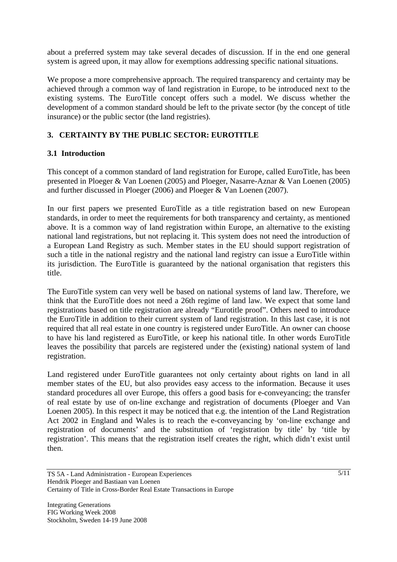about a preferred system may take several decades of discussion. If in the end one general system is agreed upon, it may allow for exemptions addressing specific national situations.

We propose a more comprehensive approach. The required transparency and certainty may be achieved through a common way of land registration in Europe, to be introduced next to the existing systems. The EuroTitle concept offers such a model. We discuss whether the development of a common standard should be left to the private sector (by the concept of title insurance) or the public sector (the land registries).

## **3. CERTAINTY BY THE PUBLIC SECTOR: EUROTITLE**

## **3.1 Introduction**

This concept of a common standard of land registration for Europe, called EuroTitle, has been presented in Ploeger & Van Loenen (2005) and Ploeger, Nasarre-Aznar & Van Loenen (2005) and further discussed in Ploeger (2006) and Ploeger & Van Loenen (2007).

In our first papers we presented EuroTitle as a title registration based on new European standards, in order to meet the requirements for both transparency and certainty, as mentioned above. It is a common way of land registration within Europe, an alternative to the existing national land registrations, but not replacing it. This system does not need the introduction of a European Land Registry as such. Member states in the EU should support registration of such a title in the national registry and the national land registry can issue a EuroTitle within its jurisdiction. The EuroTitle is guaranteed by the national organisation that registers this title.

The EuroTitle system can very well be based on national systems of land law. Therefore, we think that the EuroTitle does not need a 26th regime of land law. We expect that some land registrations based on title registration are already "Eurotitle proof". Others need to introduce the EuroTitle in addition to their current system of land registration. In this last case, it is not required that all real estate in one country is registered under EuroTitle. An owner can choose to have his land registered as EuroTitle, or keep his national title. In other words EuroTitle leaves the possibility that parcels are registered under the (existing) national system of land registration.

Land registered under EuroTitle guarantees not only certainty about rights on land in all member states of the EU, but also provides easy access to the information. Because it uses standard procedures all over Europe, this offers a good basis for e-conveyancing; the transfer of real estate by use of on-line exchange and registration of documents (Ploeger and Van Loenen 2005). In this respect it may be noticed that e.g. the intention of the Land Registration Act 2002 in England and Wales is to reach the e-conveyancing by 'on-line exchange and registration of documents' and the substitution of 'registration by title' by 'title by registration'. This means that the registration itself creates the right, which didn't exist until then.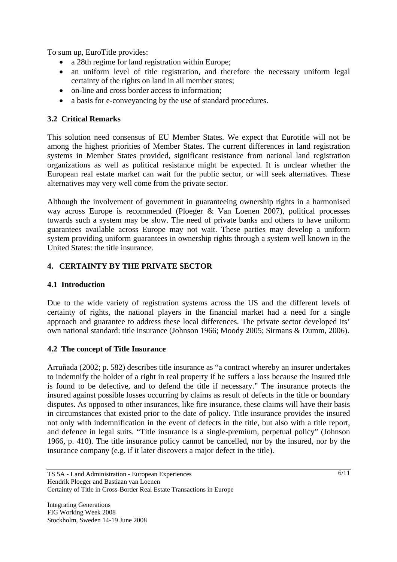To sum up, EuroTitle provides:

- a 28th regime for land registration within Europe;
- an uniform level of title registration, and therefore the necessary uniform legal certainty of the rights on land in all member states;
- on-line and cross border access to information:
- a basis for e-conveyancing by the use of standard procedures.

#### **3.2 Critical Remarks**

This solution need consensus of EU Member States. We expect that Eurotitle will not be among the highest priorities of Member States. The current differences in land registration systems in Member States provided, significant resistance from national land registration organizations as well as political resistance might be expected. It is unclear whether the European real estate market can wait for the public sector, or will seek alternatives. These alternatives may very well come from the private sector.

Although the involvement of government in guaranteeing ownership rights in a harmonised way across Europe is recommended (Ploeger & Van Loenen 2007), political processes towards such a system may be slow. The need of private banks and others to have uniform guarantees available across Europe may not wait. These parties may develop a uniform system providing uniform guarantees in ownership rights through a system well known in the United States: the title insurance.

### **4. CERTAINTY BY THE PRIVATE SECTOR**

#### **4.1 Introduction**

Due to the wide variety of registration systems across the US and the different levels of certainty of rights, the national players in the financial market had a need for a single approach and guarantee to address these local differences. The private sector developed its' own national standard: title insurance (Johnson 1966; Moody 2005; Sirmans & Dumm, 2006).

#### **4.2 The concept of Title Insurance**

Arruñada (2002; p. 582) describes title insurance as "a contract whereby an insurer undertakes to indemnify the holder of a right in real property if he suffers a loss because the insured title is found to be defective, and to defend the title if necessary." The insurance protects the insured against possible losses occurring by claims as result of defects in the title or boundary disputes. As opposed to other insurances, like fire insurance, these claims will have their basis in circumstances that existed prior to the date of policy. Title insurance provides the insured not only with indemnification in the event of defects in the title, but also with a title report, and defence in legal suits. "Title insurance is a single-premium, perpetual policy" (Johnson 1966, p. 410). The title insurance policy cannot be cancelled, nor by the insured, nor by the insurance company (e.g. if it later discovers a major defect in the title).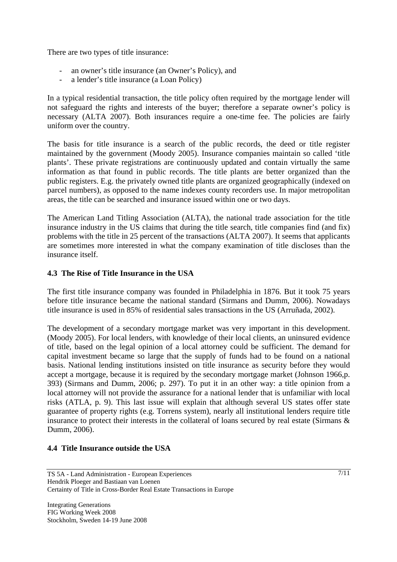There are two types of title insurance:

- an owner's title insurance (an Owner's Policy), and
- a lender's title insurance (a Loan Policy)

In a typical residential transaction, the title policy often required by the mortgage lender will not safeguard the rights and interests of the buyer; therefore a separate owner's policy is necessary (ALTA 2007). Both insurances require a one-time fee. The policies are fairly uniform over the country.

The basis for title insurance is a search of the public records, the deed or title register maintained by the government (Moody 2005). Insurance companies maintain so called 'title plants'. These private registrations are continuously updated and contain virtually the same information as that found in public records. The title plants are better organized than the public registers. E.g. the privately owned title plants are organized geographically (indexed on parcel numbers), as opposed to the name indexes county recorders use. In major metropolitan areas, the title can be searched and insurance issued within one or two days.

The American Land Titling Association (ALTA), the national trade association for the title insurance industry in the US claims that during the title search, title companies find (and fix) problems with the title in 25 percent of the transactions (ALTA 2007). It seems that applicants are sometimes more interested in what the company examination of title discloses than the insurance itself.

### **4.3 The Rise of Title Insurance in the USA**

The first title insurance company was founded in Philadelphia in 1876. But it took 75 years before title insurance became the national standard (Sirmans and Dumm, 2006). Nowadays title insurance is used in 85% of residential sales transactions in the US (Arruñada, 2002).

The development of a secondary mortgage market was very important in this development. (Moody 2005). For local lenders, with knowledge of their local clients, an uninsured evidence of title, based on the legal opinion of a local attorney could be sufficient. The demand for capital investment became so large that the supply of funds had to be found on a national basis. National lending institutions insisted on title insurance as security before they would accept a mortgage, because it is required by the secondary mortgage market (Johnson 1966,p. 393) (Sirmans and Dumm, 2006; p. 297). To put it in an other way: a title opinion from a local attorney will not provide the assurance for a national lender that is unfamiliar with local risks (ATLA, p. 9). This last issue will explain that although several US states offer state guarantee of property rights (e.g. Torrens system), nearly all institutional lenders require title insurance to protect their interests in the collateral of loans secured by real estate (Sirmans & Dumm, 2006).

#### **4.4 Title Insurance outside the USA**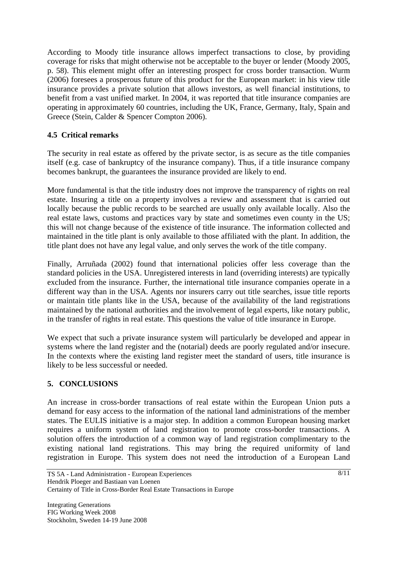According to Moody title insurance allows imperfect transactions to close, by providing coverage for risks that might otherwise not be acceptable to the buyer or lender (Moody 2005, p. 58). This element might offer an interesting prospect for cross border transaction. Wurm (2006) foresees a prosperous future of this product for the European market: in his view title insurance provides a private solution that allows investors, as well financial institutions, to benefit from a vast unified market. In 2004, it was reported that title insurance companies are operating in approximately 60 countries, including the UK, France, Germany, Italy, Spain and Greece (Stein, Calder & Spencer Compton 2006).

## **4.5 Critical remarks**

The security in real estate as offered by the private sector, is as secure as the title companies itself (e.g. case of bankruptcy of the insurance company). Thus, if a title insurance company becomes bankrupt, the guarantees the insurance provided are likely to end.

More fundamental is that the title industry does not improve the transparency of rights on real estate. Insuring a title on a property involves a review and assessment that is carried out locally because the public records to be searched are usually only available locally. Also the real estate laws, customs and practices vary by state and sometimes even county in the US; this will not change because of the existence of title insurance. The information collected and maintained in the title plant is only available to those affiliated with the plant. In addition, the title plant does not have any legal value, and only serves the work of the title company.

Finally, Arruñada (2002) found that international policies offer less coverage than the standard policies in the USA. Unregistered interests in land (overriding interests) are typically excluded from the insurance. Further, the international title insurance companies operate in a different way than in the USA. Agents nor insurers carry out title searches, issue title reports or maintain title plants like in the USA, because of the availability of the land registrations maintained by the national authorities and the involvement of legal experts, like notary public, in the transfer of rights in real estate. This questions the value of title insurance in Europe.

We expect that such a private insurance system will particularly be developed and appear in systems where the land register and the (notarial) deeds are poorly regulated and/or insecure. In the contexts where the existing land register meet the standard of users, title insurance is likely to be less successful or needed.

## **5. CONCLUSIONS**

An increase in cross-border transactions of real estate within the European Union puts a demand for easy access to the information of the national land administrations of the member states. The EULIS initiative is a major step. In addition a common European housing market requires a uniform system of land registration to promote cross-border transactions. A solution offers the introduction of a common way of land registration complimentary to the existing national land registrations. This may bring the required uniformity of land registration in Europe. This system does not need the introduction of a European Land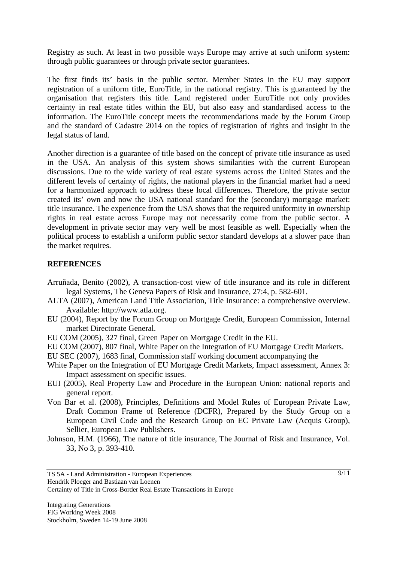Registry as such. At least in two possible ways Europe may arrive at such uniform system: through public guarantees or through private sector guarantees.

The first finds its' basis in the public sector. Member States in the EU may support registration of a uniform title, EuroTitle, in the national registry. This is guaranteed by the organisation that registers this title. Land registered under EuroTitle not only provides certainty in real estate titles within the EU, but also easy and standardised access to the information. The EuroTitle concept meets the recommendations made by the Forum Group and the standard of Cadastre 2014 on the topics of registration of rights and insight in the legal status of land.

Another direction is a guarantee of title based on the concept of private title insurance as used in the USA. An analysis of this system shows similarities with the current European discussions. Due to the wide variety of real estate systems across the United States and the different levels of certainty of rights, the national players in the financial market had a need for a harmonized approach to address these local differences. Therefore, the private sector created its' own and now the USA national standard for the (secondary) mortgage market: title insurance. The experience from the USA shows that the required uniformity in ownership rights in real estate across Europe may not necessarily come from the public sector. A development in private sector may very well be most feasible as well. Especially when the political process to establish a uniform public sector standard develops at a slower pace than the market requires.

### **REFERENCES**

- Arruñada, Benito (2002), A transaction-cost view of title insurance and its role in different legal Systems, The Geneva Papers of Risk and Insurance, 27:4, p. 582-601.
- ALTA (2007), American Land Title Association, Title Insurance: a comprehensive overview. Available: http://www.atla.org.
- EU (2004), Report by the Forum Group on Mortgage Credit, European Commission, Internal market Directorate General.
- EU COM (2005), 327 final, Green Paper on Mortgage Credit in the EU.
- EU COM (2007), 807 final, White Paper on the Integration of EU Mortgage Credit Markets.
- EU SEC (2007), 1683 final, Commission staff working document accompanying the
- White Paper on the Integration of EU Mortgage Credit Markets, Impact assessment, Annex 3: Impact assessment on specific issues.
- EUI (2005), Real Property Law and Procedure in the European Union: national reports and general report.
- Von Bar et al. (2008), Principles, Definitions and Model Rules of European Private Law, Draft Common Frame of Reference (DCFR), Prepared by the Study Group on a European Civil Code and the Research Group on EC Private Law (Acquis Group), Sellier, European Law Publishers.
- Johnson, H.M. (1966), The nature of title insurance, The Journal of Risk and Insurance, Vol. 33, No 3, p. 393-410.

Certainty of Title in Cross-Border Real Estate Transactions in Europe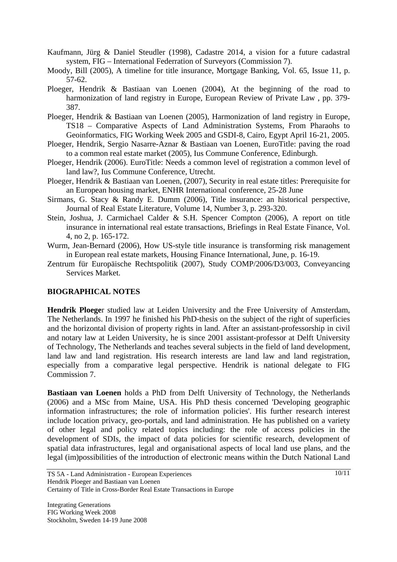- Kaufmann, Jürg & Daniel Steudler (1998), Cadastre 2014, a vision for a future cadastral system, FIG – International Federration of Surveyors (Commission 7).
- Moody, Bill (2005), A timeline for title insurance, Mortgage Banking, Vol. 65, Issue 11, p. 57-62.
- Ploeger, Hendrik & Bastiaan van Loenen (2004), At the beginning of the road to harmonization of land registry in Europe, European Review of Private Law , pp. 379- 387.
- Ploeger, Hendrik & Bastiaan van Loenen (2005), Harmonization of land registry in Europe, TS18 – Comparative Aspects of Land Administration Systems, From Pharaohs to Geoinformatics, FIG Working Week 2005 and GSDI-8, Cairo, Egypt April 16-21, 2005.
- Ploeger, Hendrik, Sergio Nasarre-Aznar & Bastiaan van Loenen, EuroTitle: paving the road to a common real estate market (2005), Ius Commune Conference, Edinburgh.
- Ploeger, Hendrik (2006). EuroTitle: Needs a common level of registration a common level of land law?, Ius Commune Conference, Utrecht.
- Ploeger, Hendrik & Bastiaan van Loenen, (2007), Security in real estate titles: Prerequisite for an European housing market, ENHR International conference, 25-28 June
- Sirmans, G. Stacy & Randy E. Dumm (2006), Title insurance: an historical perspective, Journal of Real Estate Literature, Volume 14, Number 3, p. 293-320.
- Stein, Joshua, J. Carmichael Calder & S.H. Spencer Compton (2006), A report on title insurance in international real estate transactions, Briefings in Real Estate Finance, Vol. 4, no 2, p. 165-172.
- Wurm, Jean-Bernard (2006), How US-style title insurance is transforming risk management in European real estate markets, Housing Finance International, June, p. 16-19.
- Zentrum für Europäische Rechtspolitik (2007), Study COMP/2006/D3/003, Conveyancing Services Market.

#### **BIOGRAPHICAL NOTES**

**Hendrik Ploege**r studied law at Leiden University and the Free University of Amsterdam, The Netherlands. In 1997 he finished his PhD-thesis on the subject of the right of superficies and the horizontal division of property rights in land. After an assistant-professorship in civil and notary law at Leiden University, he is since 2001 assistant-professor at Delft University of Technology, The Netherlands and teaches several subjects in the field of land development, land law and land registration. His research interests are land law and land registration, especially from a comparative legal perspective. Hendrik is national delegate to FIG Commission 7.

**Bastiaan van Loenen** holds a PhD from Delft University of Technology, the Netherlands (2006) and a MSc from Maine, USA. His PhD thesis concerned 'Developing geographic information infrastructures; the role of information policies'. His further research interest include location privacy, geo-portals, and land administration. He has published on a variety of other legal and policy related topics including: the role of access policies in the development of SDIs, the impact of data policies for scientific research, development of spatial data infrastructures, legal and organisational aspects of local land use plans, and the legal (im)possibilities of the introduction of electronic means within the Dutch National Land